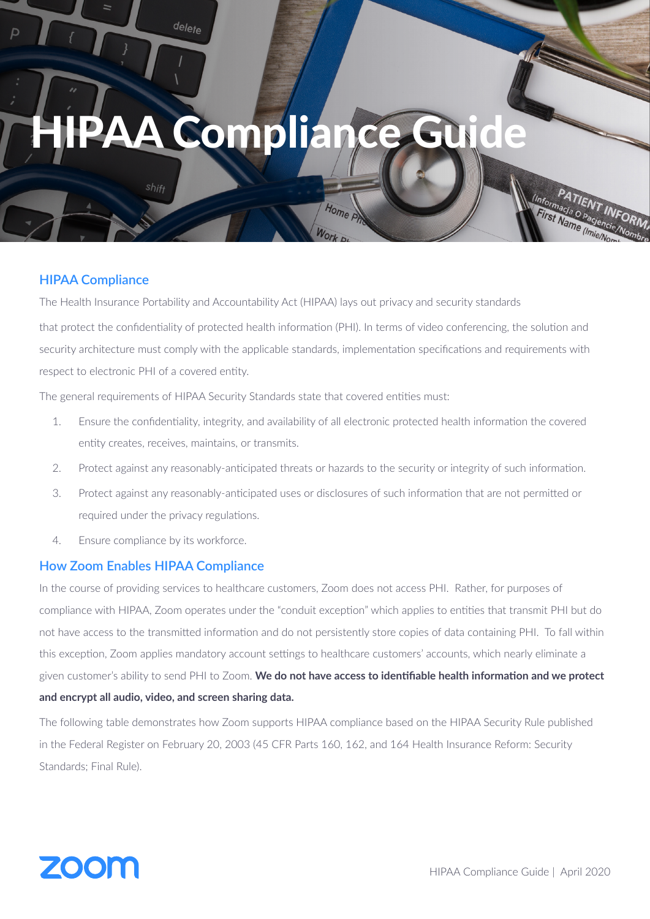# Complia

delete

#### **HIPAA Compliance**

The Health Insurance Portability and Accountability Act (HIPAA) lays out privacy and security standards

that protect the confidentiality of protected health information (PHI). In terms of video conferencing, the solution and security architecture must comply with the applicable standards, implementation specifications and requirements with respect to electronic PHI of a covered entity.

Home P

The general requirements of HIPAA Security Standards state that covered entities must:

- 1. Ensure the confidentiality, integrity, and availability of all electronic protected health information the covered entity creates, receives, maintains, or transmits.
- 2. Protect against any reasonably-anticipated threats or hazards to the security or integrity of such information.
- 3. Protect against any reasonably-anticipated uses or disclosures of such information that are not permitted or required under the privacy regulations.
- 4. Ensure compliance by its workforce.

#### **How Zoom Enables HIPAA Compliance**

In the course of providing services to healthcare customers, Zoom does not access PHI. Rather, for purposes of compliance with HIPAA, Zoom operates under the "conduit exception" which applies to entities that transmit PHI but do not have access to the transmitted information and do not persistently store copies of data containing PHI. To fall within this exception, Zoom applies mandatory account settings to healthcare customers' accounts, which nearly eliminate a given customer's ability to send PHI to Zoom. **We do not have access to identifiable health information and we protect and encrypt all audio, video, and screen sharing data.**

The following table demonstrates how Zoom supports HIPAA compliance based on the HIPAA Security Rule published in the Federal Register on February 20, 2003 (45 CFR Parts 160, 162, and 164 Health Insurance Reform: Security Standards; Final Rule).

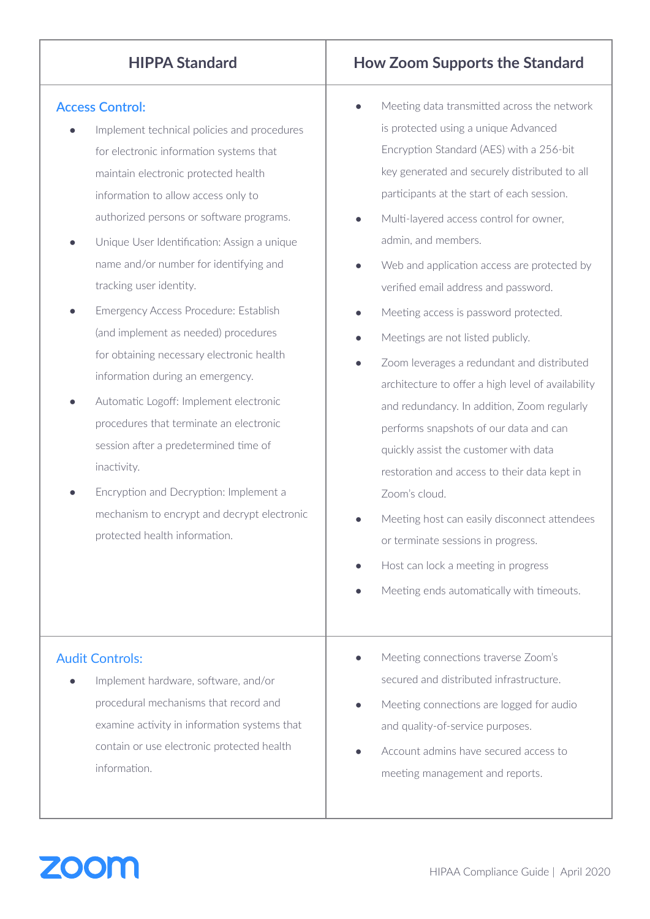### **Access Control:**

- Implement technical policies and procedures for electronic information systems that maintain electronic protected health information to allow access only to authorized persons or software programs.
- Unique User Identification: Assign a unique name and/or number for identifying and tracking user identity.
- **Emergency Access Procedure: Establish** (and implement as needed) procedures for obtaining necessary electronic health information during an emergency.
- Automatic Logoff: Implement electronic procedures that terminate an electronic session after a predetermined time of inactivity.
- Encryption and Decryption: Implement a mechanism to encrypt and decrypt electronic protected health information.

# **HIPPA Standard How Zoom Supports the Standard**

- Meeting data transmitted across the network is protected using a unique Advanced Encryption Standard (AES) with a 256-bit key generated and securely distributed to all participants at the start of each session.
- Multi-layered access control for owner, admin, and members.
- Web and application access are protected by verified email address and password.
- Meeting access is password protected.
- Meetings are not listed publicly.
- Zoom leverages a redundant and distributed architecture to offer a high level of availability and redundancy. In addition, Zoom regularly performs snapshots of our data and can quickly assist the customer with data restoration and access to their data kept in Zoom's cloud.
- Meeting host can easily disconnect attendees or terminate sessions in progress.
- Host can lock a meeting in progress
- Meeting ends automatically with timeouts.

## Audit Controls:

- Implement hardware, software, and/or procedural mechanisms that record and examine activity in information systems that contain or use electronic protected health information.
- Meeting connections traverse Zoom's secured and distributed infrastructure.
- Meeting connections are logged for audio and quality-of-service purposes.
- Account admins have secured access to meeting management and reports.

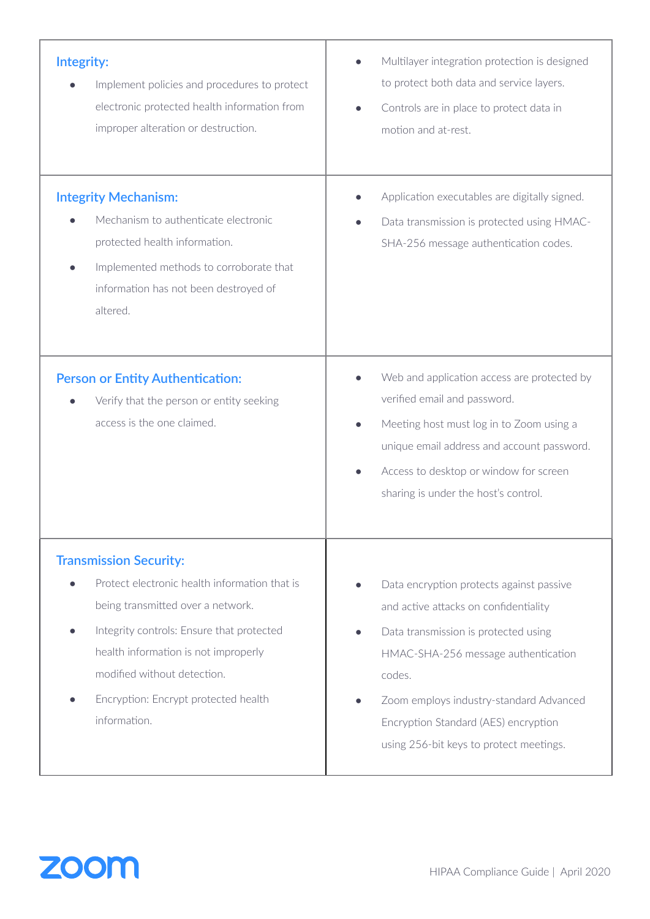| Integrity:                                                                                                                                                                                           | Multilayer integration protection is designed                                                                                                                                                                                                           |
|------------------------------------------------------------------------------------------------------------------------------------------------------------------------------------------------------|---------------------------------------------------------------------------------------------------------------------------------------------------------------------------------------------------------------------------------------------------------|
| Implement policies and procedures to protect                                                                                                                                                         | to protect both data and service layers.                                                                                                                                                                                                                |
| electronic protected health information from                                                                                                                                                         | Controls are in place to protect data in                                                                                                                                                                                                                |
| improper alteration or destruction.                                                                                                                                                                  | motion and at-rest.                                                                                                                                                                                                                                     |
| <b>Integrity Mechanism:</b><br>Mechanism to authenticate electronic<br>protected health information.<br>Implemented methods to corroborate that<br>information has not been destroyed of<br>altered. | Application executables are digitally signed.<br>Data transmission is protected using HMAC-<br>SHA-256 message authentication codes.                                                                                                                    |
| <b>Person or Entity Authentication:</b><br>Verify that the person or entity seeking<br>access is the one claimed.                                                                                    | Web and application access are protected by<br>verified email and password.<br>Meeting host must log in to Zoom using a<br>unique email address and account password.<br>Access to desktop or window for screen<br>sharing is under the host's control. |
| <b>Transmission Security:</b>                                                                                                                                                                        | Data encryption protects against passive                                                                                                                                                                                                                |
| Protect electronic health information that is                                                                                                                                                        | and active attacks on confidentiality                                                                                                                                                                                                                   |
| being transmitted over a network.                                                                                                                                                                    | Data transmission is protected using                                                                                                                                                                                                                    |
| Integrity controls: Ensure that protected                                                                                                                                                            | HMAC-SHA-256 message authentication                                                                                                                                                                                                                     |
| health information is not improperly                                                                                                                                                                 | codes.                                                                                                                                                                                                                                                  |
| modified without detection.                                                                                                                                                                          | Zoom employs industry-standard Advanced                                                                                                                                                                                                                 |
| Encryption: Encrypt protected health                                                                                                                                                                 | Encryption Standard (AES) encryption                                                                                                                                                                                                                    |
| information.                                                                                                                                                                                         | using 256-bit keys to protect meetings.                                                                                                                                                                                                                 |

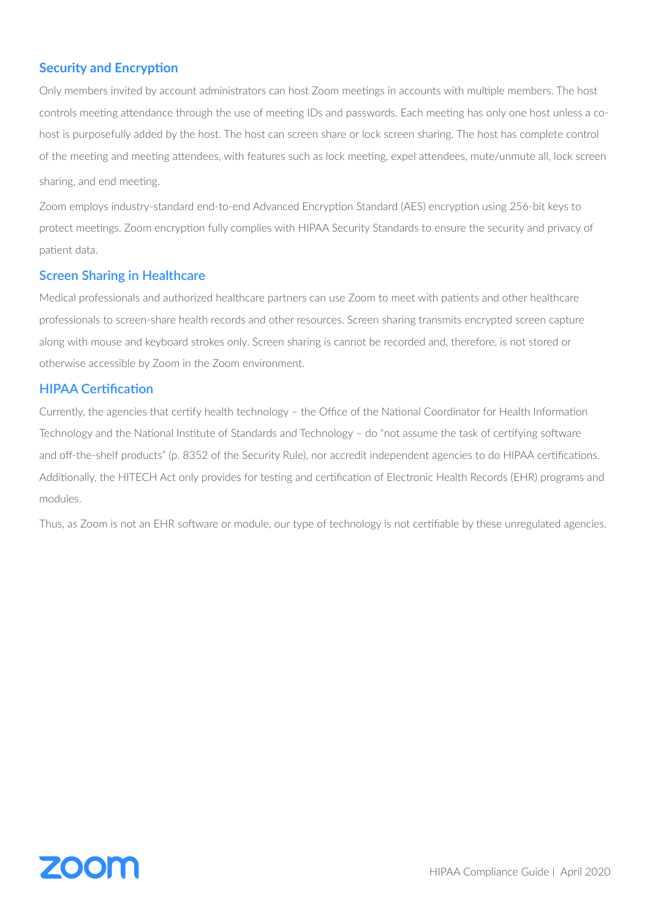#### **Security and Encryption**

Only members invited by account administrators can host Zoom meetings in accounts with multiple members. The host controls meeting attendance through the use of meeting IDs and passwords. Each meeting has only one host unless a cohost is purposefully added by the host. The host can screen share or lock screen sharing. The host has complete control of the meeting and meeting attendees, with features such as lock meeting, expel attendees, mute/unmute all, lock screen sharing, and end meeting.

Zoom employs industry-standard end-to-end Advanced Encryption Standard (AES) encryption using 256-bit keys to protect meetings. Zoom encryption fully complies with HIPAA Security Standards to ensure the security and privacy of patient data.

#### **Screen Sharing in Healthcare**

Medical professionals and authorized healthcare partners can use Zoom to meet with patients and other healthcare professionals to screen-share health records and other resources. Screen sharing transmits encrypted screen capture along with mouse and keyboard strokes only. Screen sharing is cannot be recorded and, therefore, is not stored or otherwise accessible by Zoom in the Zoom environment.

#### **HIPAA Certification**

Currently, the agencies that certify health technology – the Office of the National Coordinator for Health Information Technology and the National Institute of Standards and Technology – do "not assume the task of certifying software and off-the-shelf products" (p. 8352 of the Security Rule), nor accredit independent agencies to do HIPAA certifications. Additionally, the HITECH Act only provides for testing and certification of Electronic Health Records (EHR) programs and modules.

Thus, as Zoom is not an EHR software or module, our type of technology is not certifiable by these unregulated agencies.